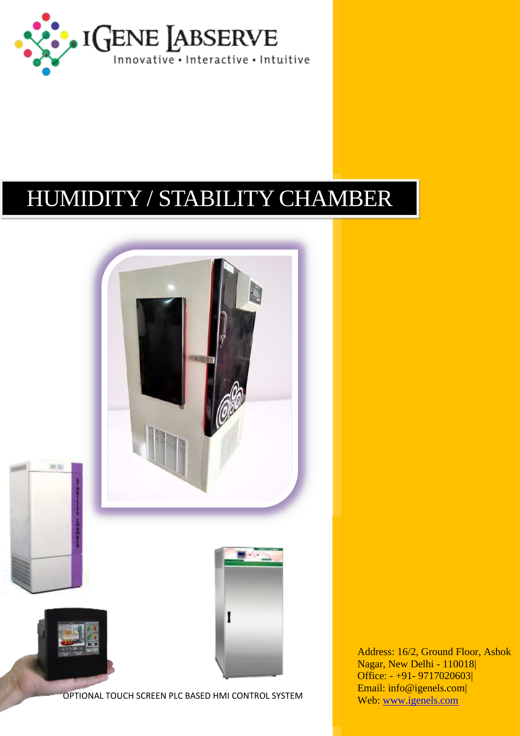

## HUMIDITY / STABILITY CHAMBER



Address: 16/2, Ground Floor, Ashok Nagar, New Delhi - 110018| Office: - +91- 9717020603| Email: info@igenels.com| Web: [www.igenels.com](http://www.igenels.com/)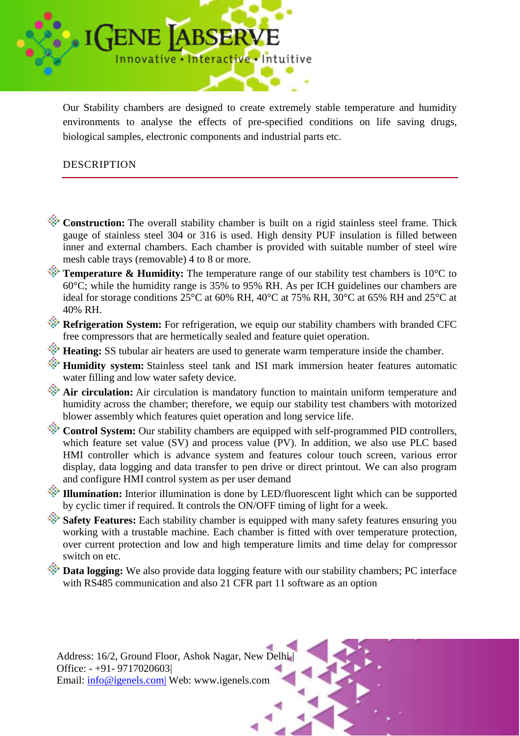

Our Stability chambers are designed to create extremely stable temperature and humidity environments to analyse the effects of pre-specified conditions on life saving drugs, biological samples, electronic components and industrial parts etc.

## DESCRIPTION

- **Construction:** The overall stability chamber is built on a rigid stainless steel frame. Thick gauge of stainless steel 304 or 316 is used. High density PUF insulation is filled between inner and external chambers. Each chamber is provided with suitable number of steel wire mesh cable trays (removable) 4 to 8 or more.
- **Temperature & Humidity:** The temperature range of our stability test chambers is 10<sup>o</sup>C to  $60^{\circ}$ C; while the humidity range is 35% to 95% RH. As per ICH guidelines our chambers are ideal for storage conditions 25°C at 60% RH, 40°C at 75% RH, 30°C at 65% RH and 25°C at 40% RH.
- **Refrigeration System:** For refrigeration, we equip our stability chambers with branded CFC free compressors that are hermetically sealed and feature quiet operation.
- **Heating:** SS tubular air heaters are used to generate warm temperature inside the chamber.
- **Humidity system:** Stainless steel tank and ISI mark immersion heater features automatic water filling and low water safety device.
- **Air circulation:** Air circulation is mandatory function to maintain uniform temperature and humidity across the chamber; therefore, we equip our stability test chambers with motorized blower assembly which features quiet operation and long service life.
- **Control System:** Our stability chambers are equipped with self-programmed PID controllers, which feature set value (SV) and process value (PV). In addition, we also use PLC based HMI controller which is advance system and features colour touch screen, various error display, data logging and data transfer to pen drive or direct printout. We can also program and configure HMI control system as per user demand
- **Illumination:** Interior illumination is done by LED/fluorescent light which can be supported by cyclic timer if required. It controls the ON/OFF timing of light for a week.
- **Safety Features:** Each stability chamber is equipped with many safety features ensuring you working with a trustable machine. Each chamber is fitted with over temperature protection, over current protection and low and high temperature limits and time delay for compressor switch on etc.
- **Data logging:** We also provide data logging feature with our stability chambers: PC interface with RS485 communication and also 21 CFR part 11 software as an option

Address: 16/2, Ground Floor, Ashok Nagar, New Delhi | Office: - +91- 9717020603| Email: [info@igenels.com|](mailto:info@igenels.com%7C) Web: www.igenels.com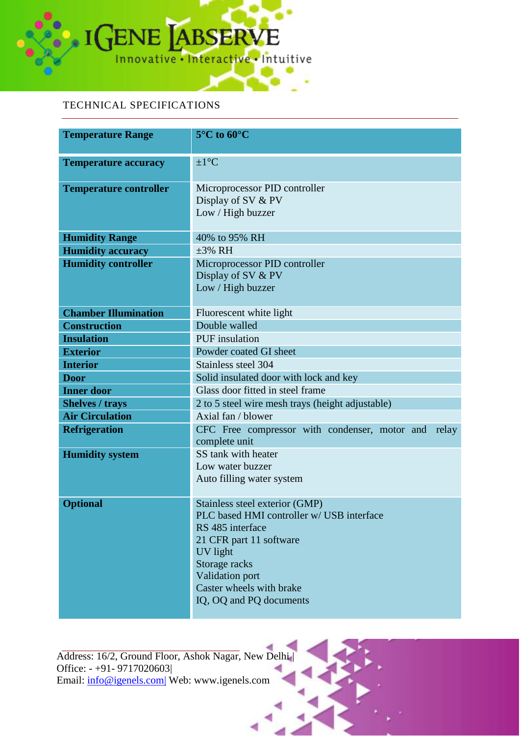

## TECHNICAL SPECIFICATIONS

| <b>Temperature Range</b>      | $5^{\circ}$ C to $60^{\circ}$ C                                                                                                                                                                                                   |  |  |  |
|-------------------------------|-----------------------------------------------------------------------------------------------------------------------------------------------------------------------------------------------------------------------------------|--|--|--|
| <b>Temperature accuracy</b>   | $\pm 1$ °C                                                                                                                                                                                                                        |  |  |  |
| <b>Temperature controller</b> | Microprocessor PID controller<br>Display of SV & PV<br>Low / High buzzer                                                                                                                                                          |  |  |  |
| <b>Humidity Range</b>         | 40% to 95% RH                                                                                                                                                                                                                     |  |  |  |
| <b>Humidity accuracy</b>      | $\pm 3\%$ RH                                                                                                                                                                                                                      |  |  |  |
| <b>Humidity controller</b>    | Microprocessor PID controller<br>Display of SV & PV<br>Low / High buzzer                                                                                                                                                          |  |  |  |
| <b>Chamber Illumination</b>   | Fluorescent white light                                                                                                                                                                                                           |  |  |  |
| <b>Construction</b>           | Double walled                                                                                                                                                                                                                     |  |  |  |
| <b>Insulation</b>             | <b>PUF</b> insulation                                                                                                                                                                                                             |  |  |  |
| <b>Exterior</b>               | Powder coated GI sheet                                                                                                                                                                                                            |  |  |  |
| <b>Interior</b>               | Stainless steel 304                                                                                                                                                                                                               |  |  |  |
| <b>Door</b>                   | Solid insulated door with lock and key                                                                                                                                                                                            |  |  |  |
| <b>Inner door</b>             | Glass door fitted in steel frame                                                                                                                                                                                                  |  |  |  |
| <b>Shelves / trays</b>        | 2 to 5 steel wire mesh trays (height adjustable)                                                                                                                                                                                  |  |  |  |
| <b>Air Circulation</b>        | Axial fan / blower                                                                                                                                                                                                                |  |  |  |
| <b>Refrigeration</b>          | CFC Free compressor with condenser, motor and<br>relay<br>complete unit                                                                                                                                                           |  |  |  |
| <b>Humidity system</b>        | SS tank with heater<br>Low water buzzer<br>Auto filling water system                                                                                                                                                              |  |  |  |
| <b>Optional</b>               | Stainless steel exterior (GMP)<br>PLC based HMI controller w/ USB interface<br>RS 485 interface<br>21 CFR part 11 software<br>UV light<br>Storage racks<br>Validation port<br>Caster wheels with brake<br>IQ, OQ and PQ documents |  |  |  |

Address: 16/2, Ground Floor, Ashok Nagar, New Delhi | Office: - +91- 9717020603| Email: [info@igenels.com|](mailto:info@igenels.com%7C) Web: www.igenels.com